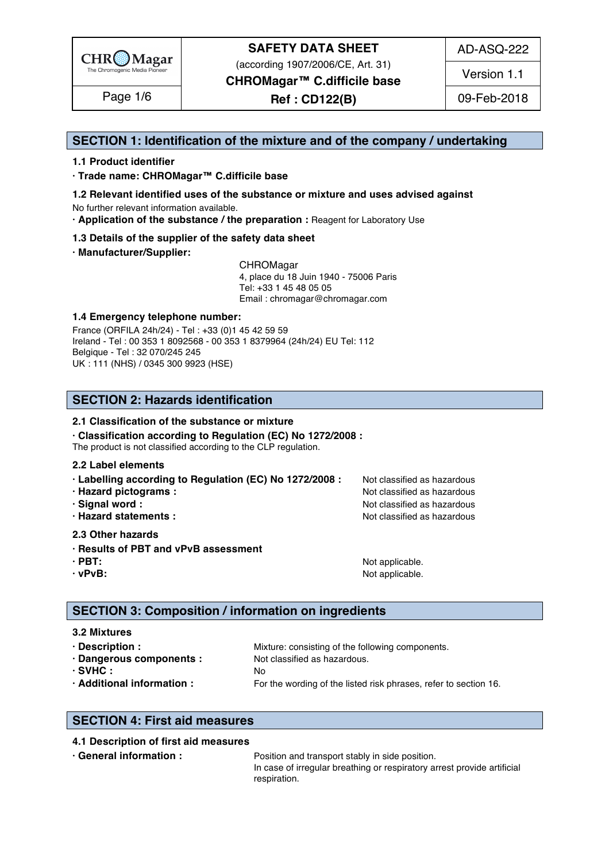

(according 1907/2006/CE, Art. 31)

AD-ASQ-222

**CHROMagar™ C.difficile base**

**Ref : CD122(B)** Page 1/6 09-Feb-2018 Version 1.1

# **SECTION 1: Identification of the mixture and of the company / undertaking** 1

# **1.1 Product identifier** 2

**· Trade name: CHROMagar™ C.difficile base** 3

- **1.2 Relevant identified uses of the substance or mixture and uses advised against** 4 No further relevant information available. 5
- **· Application of the substance / the preparation :** Reagent for Laboratory Use 6

#### **1.3 Details of the supplier of the safety data sheet** 7

**· Manufacturer/Supplier:** 8

CHROMagar 9 4, place du 18 Juin 1940 - 75006 Paris 10 Tel: +33 1 45 48 05 05 11 11 12 11 12 11 12 11 12 11 12 11 12 11 12 11 12 11 12 1 Email : chromagar@chromagar.com 12

# **1.4 Emergency telephone number:**  $\blacksquare$  **1.4 Emergency telephone number:**

France (ORFILA 24h/24) - Tel: +33 (0)1 45 42 59 59 Ireland - Tel: 00 353 1 8092568 - 00 353 1 8379964 (24h/24) EU Tel: 112 Belgique - Tel : 32 070/245 245 16 UK : 111 (NHS) / 0345 300 9923 (HSE) 17

# **SECTION 2: Hazards identification** 20

#### **2.1 Classification of the substance or mixture**

**· Classification according to Regulation (EC) No 1272/2008 :** 22

The product is not classified according to the CLP regulation.

#### **2.2 Label elements** 24

- **· Labelling according to Regulation (EC) No 1272/2008 : Not classified as hazardous**
- 
- 
- 

#### **2.3 Other hazards** 29

- **· Results of PBT and vPvB assessment** 30
- 
- 

**· Hazard pictograms :** Not classified as hazardous 26 and 26 and 26 and 26 and 26 and 26 and 26 and 26 and 26 and 26 and 26 and 26 and 26 and 26 and 26 and 26 and 26 and 26 and 26 and 26 and 26 and 26 and 26 and 26 and 26 **· Signal word :** Not classified as hazardous 27 and 27 and 27 and 27 and 27 and 27 and 27 and 27 and 27 and 27 and 27 and 27 and 27 and 27 and 27 and 27 and 27 and 27 and 27 and 27 and 27 and 27 and 27 and 27 and 27 and 2 **· Hazard statements :** Not classified as hazardous 28 and 28 and 28 and 28 and 28 and 28 and 28 and 28 and 28 and 28 and 28 and 28 and 28 and 28 and 28 and 28 and 28 and 28 and 28 and 28 and 28 and 28 and 28 and 28 and 28

**· PBT:**  $\blacksquare$  **PBT:**  $\blacksquare$  **PBT:**  $\blacksquare$  **Not applicable.**  $\blacksquare$   $\blacksquare$   $\blacksquare$   $\blacksquare$   $\blacksquare$   $\blacksquare$   $\blacksquare$   $\blacksquare$   $\blacksquare$   $\blacksquare$   $\blacksquare$   $\blacksquare$   $\blacksquare$   $\blacksquare$   $\blacksquare$   $\blacksquare$   $\blacksquare$   $\blacksquare$   $\blacksquare$   $\blacksquare$   $\blacksquare$   $\blacksquare$   $\blacksquare$ **· vPvB:**  $\bullet$  **·**  $\bullet$  **122 ·**  $\bullet$  **122 ·**  $\bullet$  **·**  $\bullet$  **·**  $\bullet$  **·**  $\bullet$  **·**  $\bullet$  **·**  $\bullet$  **·**  $\bullet$  **·**  $\bullet$  **·**  $\bullet$  **·**  $\bullet$  **·**  $\bullet$  **·**  $\bullet$  **·**  $\bullet$  **·**  $\bullet$  **·**  $\bullet$  **·**  $\bullet$  **·**  $\bullet$  **·**  $\bullet$  **·**  $\bullet$  **·**  $\$ 

# **SECTION 3: Composition / information on ingredients**

**3.2 Mixtures** 36 **· Description : 1988** Mixture: consisting of the following components. **· Dangerous components :** Not classified as hazardous. 388 and 288 and 288 and 288 and 288 and 288 and 288 and 288 and 288 and 288 and 288 and 288 and 288 and 288 and 288 and 288 and 288 and 288 and 288 and 288 and 288 an **· SVHC :** No 39 **· Additional information :** For the wording of the listed risk phrases, refer to section 16. 40

# **SECTION 4: First aid measures** 43

# **4.1 Description of first aid measures** 44

**• General information : Position and transport stably in side position.** 455 and the position of the position of the position of the position of the position of the position of the position of the position of the positi In case of irregular breathing or respiratory arrest provide artificial respiration. And the set of the set of the set of the set of the set of the set of the set of the set of the set of the set of the set of the set of the set of the set of the set of the set of the set of the set of the set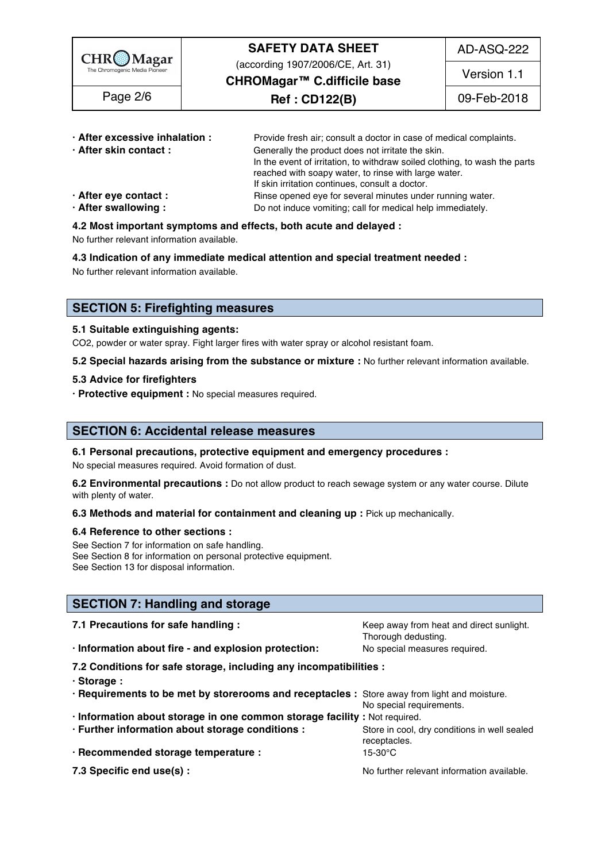

(according 1907/2006/CE, Art. 31)

AD-ASQ-222

**CHROMagar™ C.difficile base**

**Ref : CD122(B)** Page 2/6 09-Feb-2018

Version 1.1

| · After excessive inhalation : | Provide fresh air; consult a doctor in case of medical complaints.         |  |  |
|--------------------------------|----------------------------------------------------------------------------|--|--|
| · After skin contact:          | Generally the product does not irritate the skin.                          |  |  |
|                                | In the event of irritation, to withdraw soiled clothing, to wash the parts |  |  |
|                                | reached with soapy water, to rinse with large water.                       |  |  |
|                                | If skin irritation continues, consult a doctor.                            |  |  |
| $\cdot$ After eye contact :    | Rinse opened eye for several minutes under running water.                  |  |  |
| · After swallowing:            | Do not induce vomiting; call for medical help immediately.                 |  |  |

# **4.2 Most important symptoms and effects, both acute and delayed :** 55

No further relevant information available. 56

**4.3 Indication of any immediate medical attention and special treatment needed :** 57

No further relevant information available. Superstanding the state of the state of the state of the state of the state of the state of the state of the state of the state of the state of the state of the state of the state

# **SECTION 5: Firefighting measures**

#### **5.1 Suitable extinguishing agents:** 62

CO2, powder or water spray. Fight larger fires with water spray or alcohol resistant foam.

**5.2 Special hazards arising from the substance or mixture :** No further relevant information available. 64

#### **5.3 Advice for firefighters** 65

**· Protective equipment :** No special measures required. 66

# **SECTION 6: Accidental release measures**

#### **6.1 Personal precautions, protective equipment and emergency procedures :** 70

No special measures required. Avoid formation of dust.

**6.2 Environmental precautions** : Do not allow product to reach sewage system or any water course. Dilute with plenty of water. The contract of the contract of the contract of the contract of the contract of the contract of the contract of the contract of the contract of the contract of the contract of the contract of the cont

#### **6.3 Methods and material for containment and cleaning up : Pick up mechanically.**

#### **6.4 Reference to other sections :** 75

See Section 7 for information on safe handling. See Section 8 for information on personal protective equipment.<br>See Section 13 for disposal information. See Section 13 for disposal information. The section of the section of the section of the section of the section of the section of the section of the section of the section of the section of the section of the section of t

# **SECTION 7: Handling and storage**

| 7.1 Precautions for safe handling :                                                          | Keep away from heat and direct sunlight.<br>Thorough dedusting. |  |  |
|----------------------------------------------------------------------------------------------|-----------------------------------------------------------------|--|--|
| · Information about fire - and explosion protection:                                         | No special measures required.                                   |  |  |
| 7.2 Conditions for safe storage, including any incompatibilities :                           |                                                                 |  |  |
| · Storage:                                                                                   |                                                                 |  |  |
| . Requirements to be met by storerooms and receptacles : Store away from light and moisture. | No special requirements.                                        |  |  |
| · Information about storage in one common storage facility : Not required.                   |                                                                 |  |  |
| · Further information about storage conditions :                                             | Store in cool, dry conditions in well sealed<br>receptacles.    |  |  |
| · Recommended storage temperature :                                                          | 15-30°C                                                         |  |  |
| 7.3 Specific end use(s) :                                                                    | No further relevant information available.                      |  |  |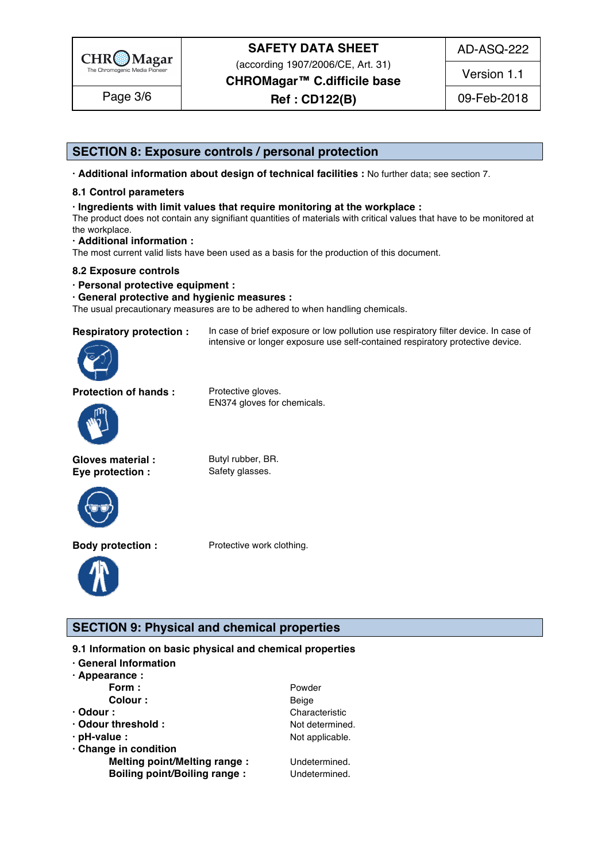

AD-ASQ-222

(according 1907/2006/CE, Art. 31)

**CHROMagar™ C.difficile base**

**Ref : CD122(B)** Page 3/6 09-Feb-2018

Version 1.1

# **SECTION 8: Exposure controls / personal protection**

**· Additional information about design of technical facilities :** No further data; see section 7. 97

# **8.1 Control parameters** 98

# **· Ingredients with limit values that require monitoring at the workplace :** 99

The product does not contain any signifiant quantities of materials with critical values that have to be monitored at  $\hbox{the workplace.}$ 

# **· Additional information :** 102

The most current valid lists have been used as a basis for the production of this document.

# **8.2 Exposure controls** 104

**· Personal protective equipment :** 105

#### **· General protective and hygienic measures :** 106

The usual precautionary measures are to be adhered to when handling chemicals.



**Respiratory protection :** In case of brief exposure or low pollution use respiratory filter device. In case of intensive or longer exposure use self-contained respiratory protective device.

**Protection of hands :** Protective gloves.

EN374 gloves for chemicals.



**Gloves material :** Butyl rubber, BR. **Eye protection :** Safety glasses.



**Body protection :** Protective work clothing.



**SECTION 9: Physical and chemical properties** 

# **9.1 Information on basic physical and chemical properties**

| · General Information               |                 |  |  |
|-------------------------------------|-----------------|--|--|
| $\cdot$ Appearance :                |                 |  |  |
| Form:                               | Powder          |  |  |
| Colour :                            | Beige           |  |  |
| $\cdot$ Odour :                     | Characteristic  |  |  |
| · Odour threshold :                 | Not determined. |  |  |
| · pH-value :                        | Not applicable. |  |  |
| · Change in condition               |                 |  |  |
| Melting point/Melting range :       | Undetermined.   |  |  |
| <b>Boiling point/Boiling range:</b> | Undetermined.   |  |  |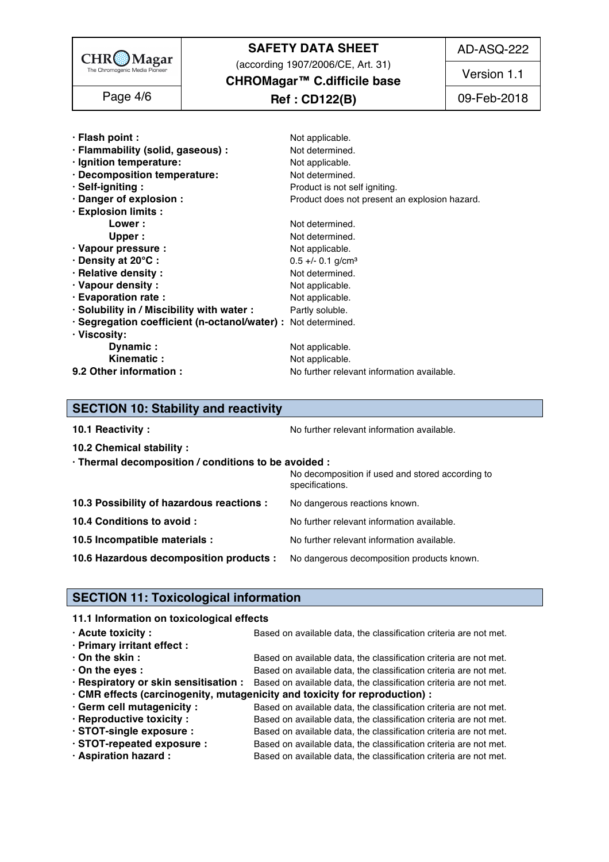

(according 1907/2006/CE, Art. 31)

**CHROMagar™ C.difficile base**

# **Ref : CD122(B)** Page 4/6 09-Feb-2018

Version 1.1

| · Flash point :                                               | Not applicable.                               |  |
|---------------------------------------------------------------|-----------------------------------------------|--|
| · Flammability (solid, gaseous) :                             | Not determined.                               |  |
| · Ignition temperature:                                       | Not applicable.                               |  |
| · Decomposition temperature:                                  | Not determined.                               |  |
| · Self-igniting:                                              | Product is not self igniting.                 |  |
| · Danger of explosion :                                       | Product does not present an explosion hazard. |  |
| · Explosion limits :                                          |                                               |  |
| Lower :                                                       | Not determined.                               |  |
| Upper:                                                        | Not determined.                               |  |
| · Vapour pressure :                                           | Not applicable.                               |  |
| · Density at 20°C:                                            | $0.5 +/- 0.1$ g/cm <sup>3</sup>               |  |
| · Relative density :                                          | Not determined.                               |  |
| · Vapour density:                                             | Not applicable.                               |  |
| · Evaporation rate :                                          | Not applicable.                               |  |
| · Solubility in / Miscibility with water :                    | Partly soluble.                               |  |
| · Segregation coefficient (n-octanol/water) : Not determined. |                                               |  |
| · Viscosity:                                                  |                                               |  |
| Dynamic:                                                      | Not applicable.                               |  |
| Kinematic:                                                    | Not applicable.                               |  |
| 9.2 Other information :                                       | No further relevant information available.    |  |

# **SECTION 10: Stability and reactivity**

| 10.1 Reactivity:                                                                   | No further relevant information available.                          |
|------------------------------------------------------------------------------------|---------------------------------------------------------------------|
| 10.2 Chemical stability :                                                          |                                                                     |
| · Thermal decomposition / conditions to be avoided :                               |                                                                     |
|                                                                                    | No decomposition if used and stored according to<br>specifications. |
| 10.3 Possibility of hazardous reactions :                                          | No dangerous reactions known.                                       |
| 10.4 Conditions to avoid :                                                         | No further relevant information available.                          |
| 10.5 Incompatible materials :                                                      | No further relevant information available.                          |
| 10.6 Hazardous decomposition products : No dangerous decomposition products known. |                                                                     |
|                                                                                    |                                                                     |

# **SECTION 11: Toxicological information**

# **11.1 Information on toxicological effects**

| $\cdot$ Acute toxicity :    | Based on available data, the classification criteria are not met.                                       |  |  |
|-----------------------------|---------------------------------------------------------------------------------------------------------|--|--|
| · Primary irritant effect : |                                                                                                         |  |  |
| $\cdot$ On the skin :       | Based on available data, the classification criteria are not met.                                       |  |  |
| $\cdot$ On the eyes :       | Based on available data, the classification criteria are not met.                                       |  |  |
|                             | . Respiratory or skin sensitisation : Based on available data, the classification criteria are not met. |  |  |
|                             | . CMR effects (carcinogenity, mutagenicity and toxicity for reproduction) :                             |  |  |
| · Germ cell mutagenicity :  | Based on available data, the classification criteria are not met.                                       |  |  |
| · Reproductive toxicity :   | Based on available data, the classification criteria are not met.                                       |  |  |
| · STOT-single exposure :    | Based on available data, the classification criteria are not met.                                       |  |  |
| · STOT-repeated exposure :  | Based on available data, the classification criteria are not met.                                       |  |  |
| · Aspiration hazard :       | Based on available data, the classification criteria are not met.                                       |  |  |

AD-ASQ-222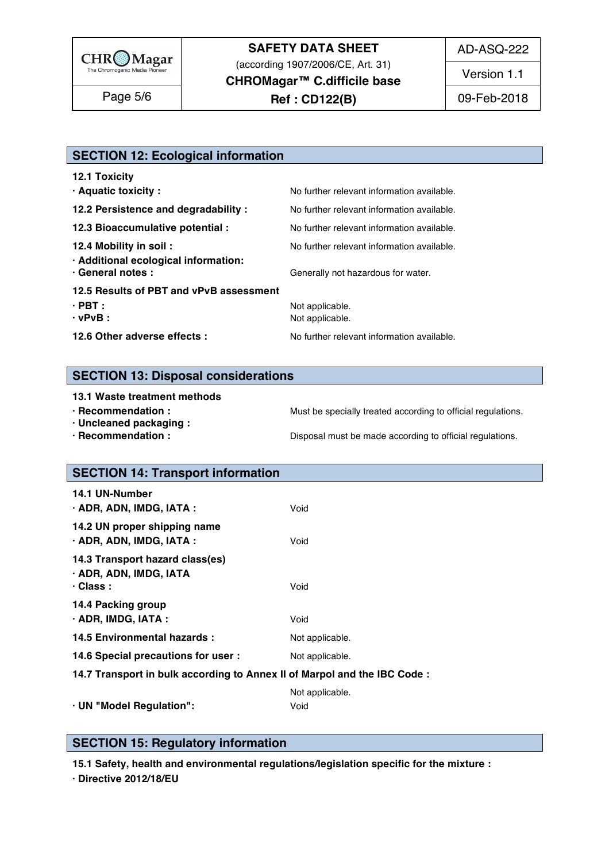

AD-ASQ-222

(according 1907/2006/CE, Art. 31)

**CHROMagar™ C.difficile base**

**Ref : CD122(B)** Page 5/6 09-Feb-2018

Version 1.1

# **SECTION 12: Ecological information**

| <b>12.1 Toxicity</b>                                      |                                            |
|-----------------------------------------------------------|--------------------------------------------|
| · Aquatic toxicity:                                       | No further relevant information available. |
| 12.2 Persistence and degradability :                      | No further relevant information available. |
| 12.3 Bioaccumulative potential :                          | No further relevant information available. |
| 12.4 Mobility in soil:                                    | No further relevant information available. |
| · Additional ecological information:<br>· General notes : | Generally not hazardous for water.         |
| 12.5 Results of PBT and vPvB assessment                   |                                            |
| $\cdot$ PBT :                                             | Not applicable.                            |
| $\cdot$ vPvB :                                            | Not applicable.                            |
| 12.6 Other adverse effects :                              | No further relevant information available. |

# **SECTION 13: Disposal considerations**

#### **13.1 Waste treatment methods in a set of the set of the set of the set of the set of the set of the set of the set of the set of the set of the set of the set of the set of the set of the set of the set of the set of the**

**· Recommendation : Must be specially treated according to official regulations.** 

**· Uncleaned packaging :** 190

**· Recommendation : Disposal must be made according to official regulations.** 

# **SECTION 14: Transport information**

| 14.1 UN-Number                                                           |                 |
|--------------------------------------------------------------------------|-----------------|
| $\cdot$ ADR, ADN, IMDG, IATA :                                           | Void            |
| 14.2 UN proper shipping name                                             |                 |
| · ADR, ADN, IMDG, IATA :                                                 | Void            |
| 14.3 Transport hazard class(es)                                          |                 |
| · ADR, ADN, IMDG, IATA                                                   |                 |
| $\cdot$ Class :                                                          | Void            |
|                                                                          |                 |
| 14.4 Packing group                                                       |                 |
| · ADR, IMDG, IATA :                                                      | Void            |
| 14.5 Environmental hazards :                                             | Not applicable. |
| 14.6 Special precautions for user :                                      | Not applicable. |
| 14.7 Transport in bulk according to Annex II of Marpol and the IBC Code: |                 |
|                                                                          | Not applicable. |
| · UN "Model Regulation":                                                 | Void            |
|                                                                          |                 |

# **SECTION 15: Regulatory information**

**15.1 Safety, health and environmental regulations/legislation specific for the mixture :** 212

**· Directive 2012/18/EU** 2020 2020 2020 2030 2030 2031 2032 2033 2034 2035 2036 2037 2038 2039 2030 2031 2032 2033 2034 2035 2036 2037 2038 2039 2030 2031 2032 2033 2034 2035 2036 2037 2038 2039 2039 2039 2030 2031 2033 20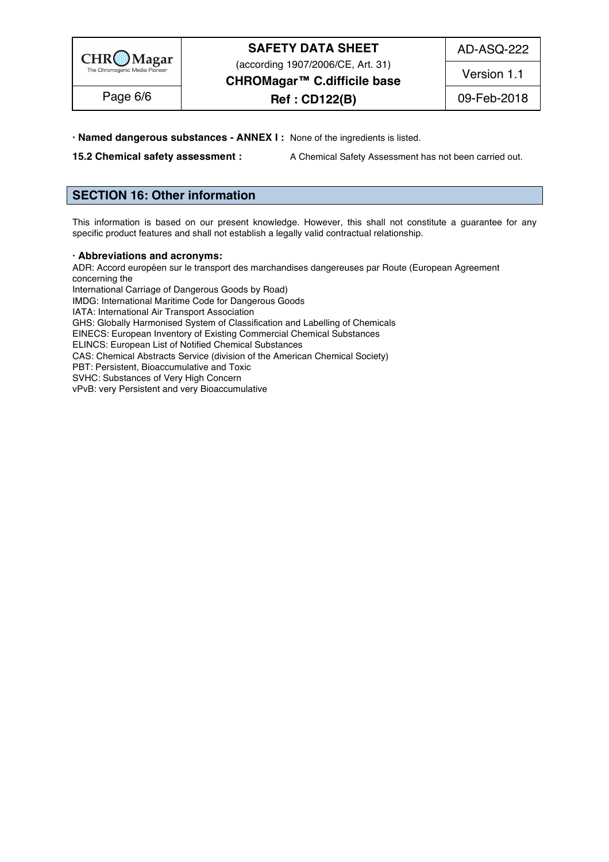

(according 1907/2006/CE, Art. 31)

AD-ASQ-222

**CHROMagar™ C.difficile base**

**Ref : CD122(B)** Page 6/6 09-Feb-2018 Version 1.1

**· Named dangerous substances - ANNEX I :** None of the ingredients is listed. 214

**15.2 Chemical safety assessment :** A Chemical Safety Assessment has not been carried out.

# **SECTION 16: Other information** 218

This information is based on our present knowledge. However, this shall not constitute a guarantee for any specific product features and shall not establish a legally valid contractual relationship.

#### **· Abbreviations and acronyms:** 223

ADR: Accord européen sur le transport des marchandises dangereuses par Route (European Agreement concerning the  $2255$  and  $2255$  and  $2255$  and  $2255$  and  $2255$  and  $2255$  and  $2255$  and  $2255$  and  $2255$  and  $2255$  and  $2255$  and  $2255$  and  $2255$  and  $2255$  and  $2255$  and  $2255$  and  $2255$  and  $2255$  and  $2255$  a

International Carriage of Dangerous Goods by Road) IMDG: International Maritime Code for Dangerous Goods IATA: International Air Transport Association IATA: International Air Transport Association 228 GHS: Globally Harmonised System of Classification and Labelling of Chemicals EINECS: European Inventory of Existing Commercial Chemical Substances ELINCS: European List of Notified Chemical Substances CAS: Chemical Abstracts Service (division of the American Chemical Society) PBT: Persistent, Bioaccumulative and Toxic PBT: Persistent, Bioaccumulative and Toxic 2333 AM and 2333 AM and 2333 AM and 2333 AM and 2333 AM and 2333 AM SVHC: Substances of Very High Concern 2344 Service 2344 Service 2344 Service 2344 Service 2344 Service 2344 Se vPvB: very Persistent and very Bioaccumulative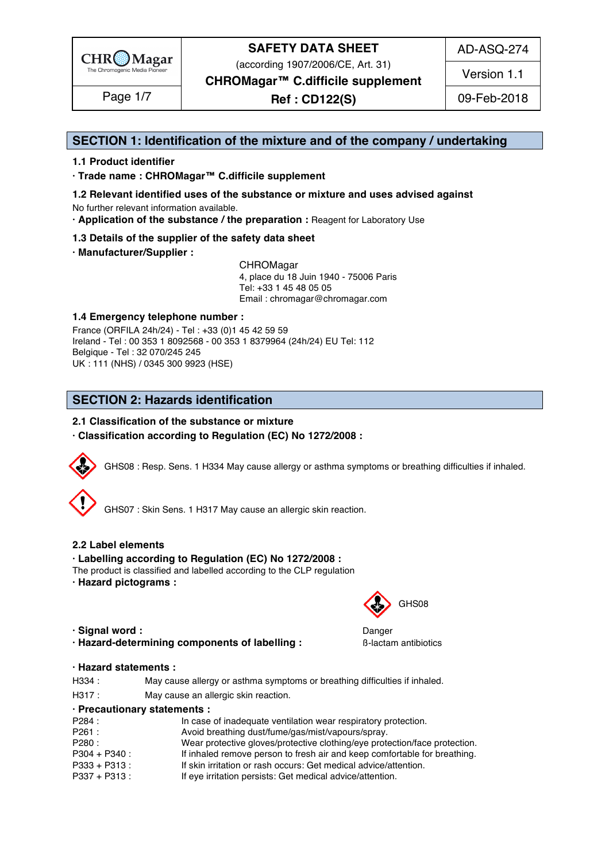

(according 1907/2006/CE, Art. 31)

AD-ASQ-274

Version 1.1

**CHROMagar™ C.difficile supplement**

**Ref : CD122(S)** Page 1/7 09-Feb-2018

# **SECTION 1: Identification of the mixture and of the company / undertaking** 1

# **1.1 Product identifier** 2

**· Trade name : CHROMagar™ C.difficile supplement** 3

- **1.2 Relevant identified uses of the substance or mixture and uses advised against** 4 No further relevant information available. 5
- **· Application of the substance / the preparation :** Reagent for Laboratory Use 6

# **1.3 Details of the supplier of the safety data sheet** 7

**· Manufacturer/Supplier :** 8

CHROMagar 9 4, place du 18 Juin 1940 - 75006 Paris 10 Tel: +33 1 45 48 05 05 11 11 12 11 12 11 12 11 12 11 12 11 12 11 12 11 12 11 12 1 Email : chromagar@chromagar.com 12

# **1.4 Emergency telephone number :** 13

France (ORFILA 24h/24) - Tel: +33 (0)1 45 42 59 59 Ireland - Tel: 00 353 1 8092568 - 00 353 1 8379964 (24h/24) EU Tel: 112 Belgique - Tel : 32 070/245 245 16 UK : 111 (NHS) / 0345 300 9923 (HSE) 17

# **SECTION 2: Hazards identification**

# **2.1 Classification of the substance or mixture**

**· Classification according to Regulation (EC) No 1272/2008 :** 22



GHS07 : Skin Sens. 1 H317 May cause an allergic skin reaction.

# **2.2 Label elements** 28

# **· Labelling according to Regulation (EC) No 1272/2008 :** 29

- The product is classified and labelled according to the CLP regulation
- **· Hazard pictograms :** 31
- **· Signal word :** Danger 35
- **· Hazard-determining components of labelling :** ß-lactam antibiotics 36

# GHS08

# **· Hazard statements :** 38

- H334 : May cause allergy or asthma symptoms or breathing difficulties if inhaled.
- H317 : May cause an allergic skin reaction.

#### **· Precautionary statements :** 41

| P284 :        | In case of inadequate ventilation wear respiratory protection.             |
|---------------|----------------------------------------------------------------------------|
| P261 :        | Avoid breathing dust/fume/gas/mist/vapours/spray.                          |
| P280:         | Wear protective gloves/protective clothing/eye protection/face protection. |
| P304 + P340   | If inhaled remove person to fresh air and keep comfortable for breathing.  |
| P333 + P313:  | If skin irritation or rash occurs: Get medical advice/attention.           |
| P337 + P313 : | If eye irritation persists: Get medical advice/attention.                  |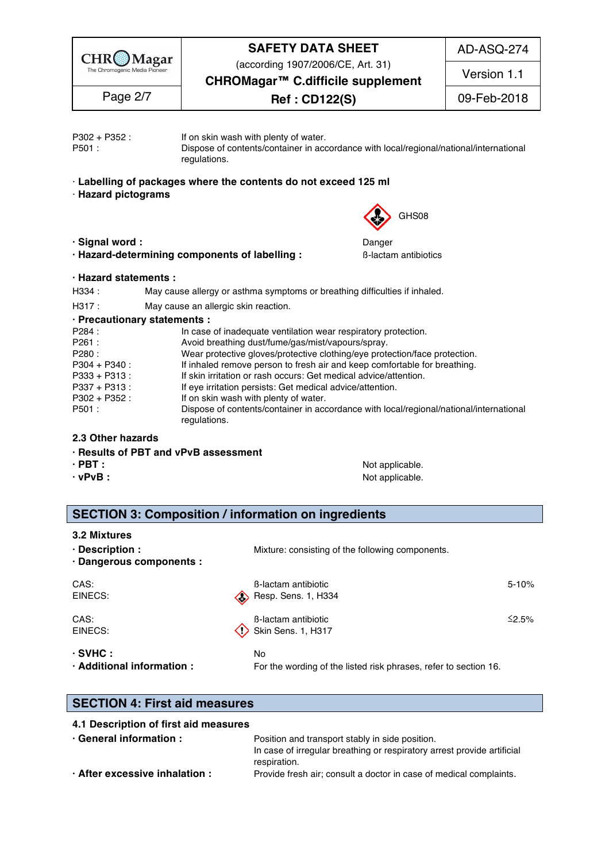

(according 1907/2006/CE, Art. 31)

AD-ASQ-274

Version 1.1

**CHROMagar™ C.difficile supplement**

**Ref : CD122(S)** Page 2/7 09-Feb-2018

| P302 + P352:<br>P501                                                                                                                                                                                                                                                      | If on skin wash with plenty of water.<br>regulations.                                                                                                                                                                                                                                                                                                                                                                                                                                                                                                                                          | Dispose of contents/container in accordance with local/regional/national/international                                       |
|---------------------------------------------------------------------------------------------------------------------------------------------------------------------------------------------------------------------------------------------------------------------------|------------------------------------------------------------------------------------------------------------------------------------------------------------------------------------------------------------------------------------------------------------------------------------------------------------------------------------------------------------------------------------------------------------------------------------------------------------------------------------------------------------------------------------------------------------------------------------------------|------------------------------------------------------------------------------------------------------------------------------|
| <b>Hazard pictograms</b>                                                                                                                                                                                                                                                  | Labelling of packages where the contents do not exceed 125 ml                                                                                                                                                                                                                                                                                                                                                                                                                                                                                                                                  | GHS08                                                                                                                        |
| · Signal word:<br>· Hazard-determining components of labelling:                                                                                                                                                                                                           |                                                                                                                                                                                                                                                                                                                                                                                                                                                                                                                                                                                                | Danger<br><b>B-lactam antibiotics</b>                                                                                        |
| · Hazard statements :<br>H334:<br>H317:<br>· Precautionary statements :<br>P284:<br>P261<br>P280<br>P304 + P340 :<br>P333 + P313:<br>P337 + P313:<br>P302 + P352:<br>P501<br>2.3 Other hazards<br>· Results of PBT and vPvB assessment<br>$\cdot$ PBT :<br>$\cdot$ vPvB : | May cause allergy or asthma symptoms or breathing difficulties if inhaled.<br>May cause an allergic skin reaction.<br>In case of inadequate ventilation wear respiratory protection.<br>Avoid breathing dust/fume/gas/mist/vapours/spray.<br>Wear protective gloves/protective clothing/eye protection/face protection.<br>If inhaled remove person to fresh air and keep comfortable for breathing.<br>If skin irritation or rash occurs: Get medical advice/attention.<br>If eye irritation persists: Get medical advice/attention.<br>If on skin wash with plenty of water.<br>regulations. | Dispose of contents/container in accordance with local/regional/national/international<br>Not applicable.<br>Not applicable. |
| 3.2 Mixtures                                                                                                                                                                                                                                                              | <b>SECTION 3: Composition / information on ingredients</b>                                                                                                                                                                                                                                                                                                                                                                                                                                                                                                                                     |                                                                                                                              |
| $\cdot$ Description :<br>· Dangerous components :                                                                                                                                                                                                                         |                                                                                                                                                                                                                                                                                                                                                                                                                                                                                                                                                                                                | Mixture: consisting of the following components.                                                                             |
| CAS:<br>EINECS:                                                                                                                                                                                                                                                           | <b>B-lactam antibiotic</b><br>Resp. Sens. 1, H334                                                                                                                                                                                                                                                                                                                                                                                                                                                                                                                                              | $5 - 10%$                                                                                                                    |
| CAS:<br>EINECS:                                                                                                                                                                                                                                                           | <b>B-lactam antibiotic</b><br>Skin Sens. 1, H317                                                                                                                                                                                                                                                                                                                                                                                                                                                                                                                                               | ≤2.5%                                                                                                                        |
| $\cdot$ SVHC :<br>· Additional information :                                                                                                                                                                                                                              | No                                                                                                                                                                                                                                                                                                                                                                                                                                                                                                                                                                                             | For the wording of the listed risk phrases, refer to section 16.                                                             |
| <b>SECTION 4: First aid measures</b>                                                                                                                                                                                                                                      |                                                                                                                                                                                                                                                                                                                                                                                                                                                                                                                                                                                                |                                                                                                                              |
| 4.1 Description of first aid measures<br>· General information :                                                                                                                                                                                                          |                                                                                                                                                                                                                                                                                                                                                                                                                                                                                                                                                                                                | Position and transport stably in side position.                                                                              |

In case of irregular breathing or respiratory arrest provide artificial respiration. respiration. **988-100 and 200 and 200 and 200 and 200 and 200 and 200 and 200 and 200 and 200 and 200 and 200 and 200 and 200 and 200 and 200 and 200 and 200 and 200 and 200 and 200 and 200 and 200 and 200 and 200 and 200 · After excessive inhalation :** Provide fresh air; consult a doctor in case of medical complaints.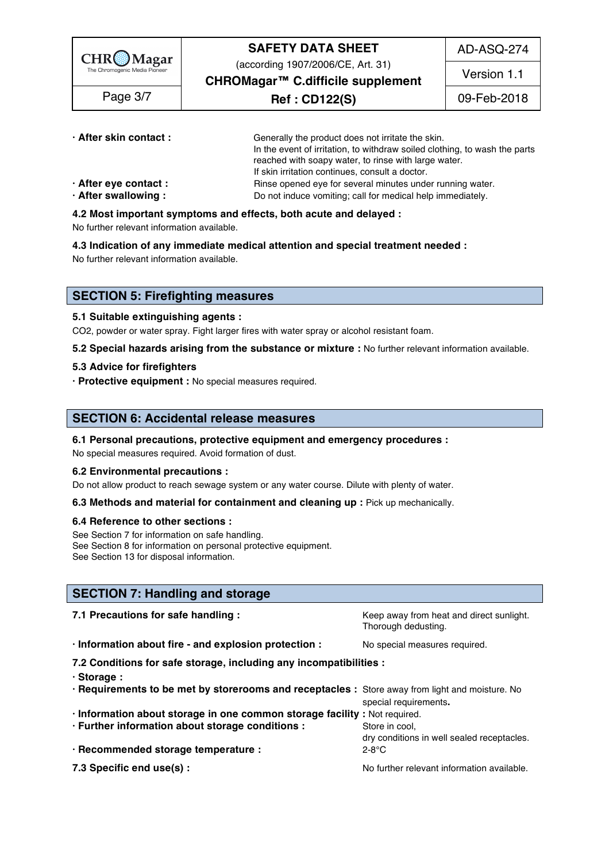

(according 1907/2006/CE, Art. 31)

AD-ASQ-274

Version 1.1

**CHROMagar™ C.difficile supplement**

**Ref : CD122(S)** Page 3/7 09-Feb-2018

| · After skin contact: | Generally the product does not irritate the skin.                          |
|-----------------------|----------------------------------------------------------------------------|
|                       | In the event of irritation, to withdraw soiled clothing, to wash the parts |
|                       | reached with soapy water, to rinse with large water.                       |
|                       | If skin irritation continues, consult a doctor.                            |
| · After eye contact : | Rinse opened eye for several minutes under running water.                  |
| · After swallowing:   | Do not induce vomiting; call for medical help immediately.                 |

**4.2 Most important symptoms and effects, both acute and delayed :** 106

No further relevant information available. 107 and 207 and 207 and 207 and 207 and 207 and 207 and 207 and 207

**4.3 Indication of any immediate medical attention and special treatment needed :** 108

No further relevant information available. 109 and 200 minutes are expected to the state of the state of the state of the state of the state of the state of the state of the state of the state of the state of the state of

# **SECTION 5: Firefighting measures**

# **5.1 Suitable extinguishing agents :** 113

CO2, powder or water spray. Fight larger fires with water spray or alcohol resistant foam.

**5.2 Special hazards arising from the substance or mixture :** No further relevant information available.

#### **5.3 Advice for firefighters** 116

**· Protective equipment :** No special measures required. 117

# **SECTION 6: Accidental release measures**

# **6.1 Personal precautions, protective equipment and emergency procedures :** 121

No special measures required. Avoid formation of dust.

#### **6.2 Environmental precautions :** 123

Do not allow product to reach sewage system or any water course. Dilute with plenty of water.

#### **6.3 Methods and material for containment and cleaning up : Pick up mechanically.**

# **6.4 Reference to other sections :** 126

See Section 7 for information on safe handling. 127 and 127 and 127 and 127 and 127 and 127 and 127 and 127 and 127 and 127 and 127 and 127 and 127 and 127 and 127 and 127 and 127 and 127 and 127 and 127 and 127 and 127 an See Section 8 for information on personal protective equipment. See Section 13 for disposal information. 129 and 200 and 200 and 200 and 200 and 200 and 200 and 200 and 200 and 200 and 200 and 200 and 200 and 200 and 200 and 200 and 200 and 200 and 200 and 200 and 200 and 200 and 200 a

# **SECTION 7: Handling and storage**

| 7.1 Precautions for safe handling :                                                             | Keep away from heat and direct sunlight.<br>Thorough dedusting. |
|-------------------------------------------------------------------------------------------------|-----------------------------------------------------------------|
| · Information about fire - and explosion protection :                                           | No special measures required.                                   |
| 7.2 Conditions for safe storage, including any incompatibilities :                              |                                                                 |
| · Storage:                                                                                      |                                                                 |
| . Requirements to be met by storerooms and receptacles : Store away from light and moisture. No |                                                                 |
|                                                                                                 | special requirements.                                           |
| · Information about storage in one common storage facility : Not required.                      |                                                                 |
| · Further information about storage conditions :                                                | Store in cool,<br>dry conditions in well sealed receptacles.    |
| · Recommended storage temperature :                                                             | 2-8°C                                                           |
| 7.3 Specific end use(s) :                                                                       | No further relevant information available.                      |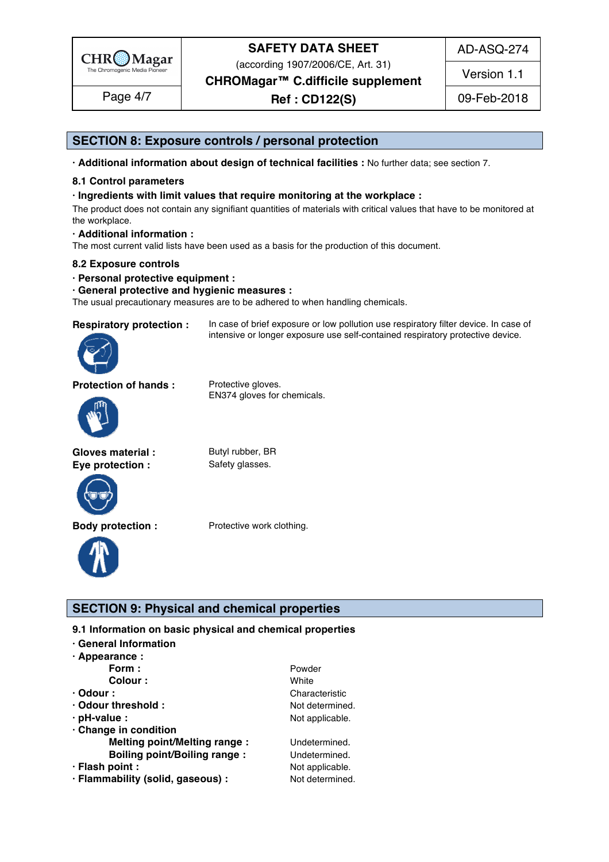

(according 1907/2006/CE, Art. 31)

**CHROMagar™ C.difficile supplement**

**Ref : CD122(S)** Page 4/7 09-Feb-2018

Version 1.1

AD-ASQ-274

# **SECTION 8: Exposure controls / personal protection**

**· Additional information about design of technical facilities :** No further data; see section 7. 147

# **8.1 Control parameters** 148

# **· Ingredients with limit values that require monitoring at the workplace :** 149

The product does not contain any signifiant quantities of materials with critical values that have to be monitored at the workplace. the workplace. The matrix of the state of the state of the state of the state of the state of the state of the state of the state of the state of the state of the state of the state of the state of the state of the state o

intensive or longer exposure use self-contained respiratory protective device.

#### **· Additional information :** 152

The most current valid lists have been used as a basis for the production of this document.

#### **8.2 Exposure controls** 154

#### **· Personal protective equipment :** 155

#### **· General protective and hygienic measures :** 156

The usual precautionary measures are to be adhered to when handling chemicals.

# **Respiratory protection :** In case of brief exposure or low pollution use respiratory filter device. In case of

**Protection of hands :** Protective gloves.



EN374 gloves for chemicals.

Gloves material : Butyl rubber, BR **Eye protection :** Safety glasses.





**Body protection :** Protective work clothing.

# **SECTION 9: Physical and chemical properties**

- **9.1 Information on basic physical and chemical properties**
- **· General Information** 163
- **· Appearance :** 164

| .                                   |                 |
|-------------------------------------|-----------------|
| Form:                               | Powder          |
| Colour:                             | White           |
| $\cdot$ Odour :                     | Characteristic  |
| · Odour threshold :                 | Not determined. |
| $\cdot$ pH-value :                  | Not applicable. |
| Change in condition                 |                 |
| <b>Melting point/Melting range:</b> | Undetermined.   |
| <b>Boiling point/Boiling range:</b> | Undetermined.   |
| · Flash point :                     | Not applicable. |
| · Flammability (solid, gaseous) :   | Not determined. |
|                                     |                 |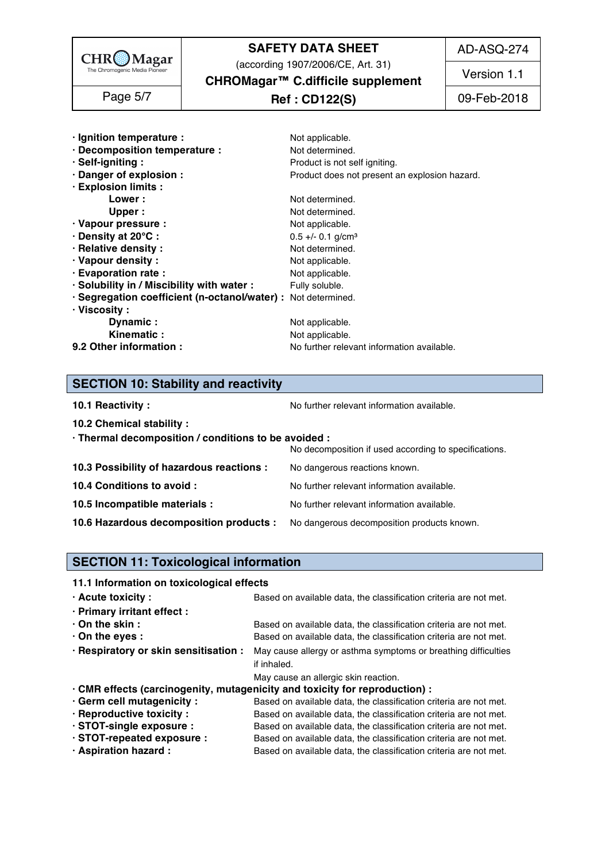

(according 1907/2006/CE, Art. 31)

AD-ASQ-274

Version 1.1

**CHROMagar™ C.difficile supplement**

# **Ref : CD122(S)** Page 5/7 09-Feb-2018

| · Ignition temperature :                                      | Not applicable.                               |
|---------------------------------------------------------------|-----------------------------------------------|
| · Decomposition temperature :                                 | Not determined.                               |
| · Self-igniting:                                              | Product is not self igniting.                 |
| · Danger of explosion :                                       | Product does not present an explosion hazard. |
| · Explosion limits :                                          |                                               |
| Lower :                                                       | Not determined.                               |
| Upper :                                                       | Not determined.                               |
| · Vapour pressure :                                           | Not applicable.                               |
| <b>⋅Density at 20°C:</b>                                      | $0.5 +/- 0.1$ g/cm <sup>3</sup>               |
| · Relative density :                                          | Not determined.                               |
| · Vapour density:                                             | Not applicable.                               |
| · Evaporation rate :                                          | Not applicable.                               |
| · Solubility in / Miscibility with water :                    | Fully soluble.                                |
| · Segregation coefficient (n-octanol/water) : Not determined. |                                               |
| · Viscosity :                                                 |                                               |
| Dynamic:                                                      | Not applicable.                               |
| Kinematic:                                                    | Not applicable.                               |
| 9.2 Other information :                                       | No further relevant information available.    |

# **SECTION 10: Stability and reactivity**

**10.1 Reactivity :** No further relevant information available. 1968 and the set of the set of the Norther relevant information available.

**10.2 Chemical stability :** 197

| · Thermal decomposition / conditions to be avoided :                               |                                                       |  |
|------------------------------------------------------------------------------------|-------------------------------------------------------|--|
|                                                                                    | No decomposition if used according to specifications. |  |
| 10.3 Possibility of hazardous reactions :                                          | No dangerous reactions known.                         |  |
| 10.4 Conditions to avoid :                                                         | No further relevant information available.            |  |
| 10.5 Incompatible materials :                                                      | No further relevant information available.            |  |
| 10.6 Hazardous decomposition products : No dangerous decomposition products known. |                                                       |  |

# **SECTION 11: Toxicological information**

# **11.1 Information on toxicological effects**

| · Acute toxicity:                                                           | Based on available data, the classification criteria are not met.                                    |
|-----------------------------------------------------------------------------|------------------------------------------------------------------------------------------------------|
| · Primary irritant effect :                                                 |                                                                                                      |
| $\cdot$ On the skin :                                                       | Based on available data, the classification criteria are not met.                                    |
| $\cdot$ On the eyes :                                                       | Based on available data, the classification criteria are not met.                                    |
|                                                                             | . Respiratory or skin sensitisation : May cause allergy or asthma symptoms or breathing difficulties |
|                                                                             | if inhaled.                                                                                          |
|                                                                             | May cause an allergic skin reaction.                                                                 |
| · CMR effects (carcinogenity, mutagenicity and toxicity for reproduction) : |                                                                                                      |
| · Germ cell mutagenicity :                                                  | Based on available data, the classification criteria are not met.                                    |
| · Reproductive toxicity :                                                   | Based on available data, the classification criteria are not met.                                    |
| · STOT-single exposure :                                                    | Based on available data, the classification criteria are not met.                                    |
| STOT-repeated exposure :                                                    | Based on available data, the classification criteria are not met.                                    |
| · Aspiration hazard :                                                       | Based on available data, the classification criteria are not met.                                    |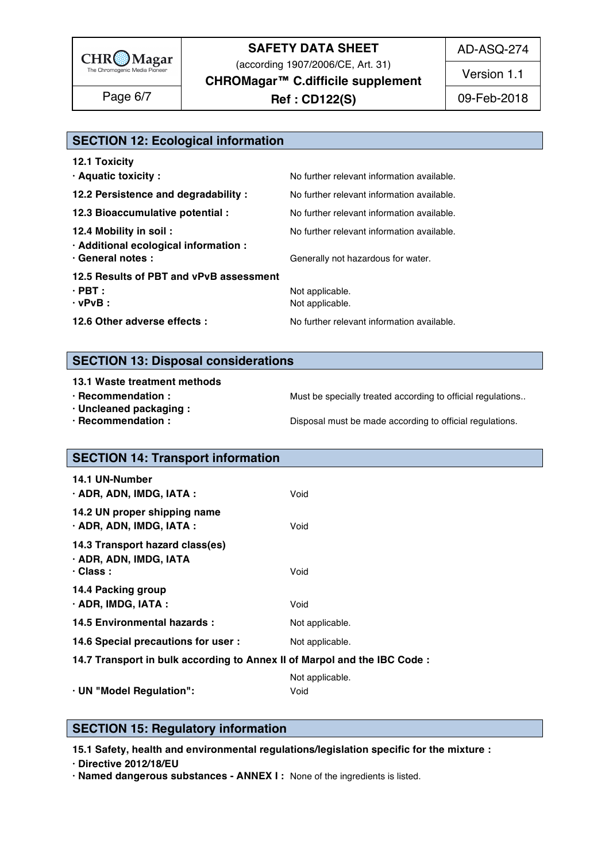

(according 1907/2006/CE, Art. 31)

AD-ASQ-274

Version 1.1

**CHROMagar™ C.difficile supplement**

**Ref : CD122(S)** Page 6/7 09-Feb-2018

# **SECTION 12: Ecological information**

| <b>12.1 Toxicity</b>                                            |                                            |
|-----------------------------------------------------------------|--------------------------------------------|
| · Aquatic toxicity :                                            | No further relevant information available. |
| 12.2 Persistence and degradability :                            | No further relevant information available. |
| 12.3 Bioaccumulative potential :                                | No further relevant information available. |
| 12.4 Mobility in soil:<br>· Additional ecological information : | No further relevant information available. |
| · General notes :                                               | Generally not hazardous for water.         |
| 12.5 Results of PBT and vPvB assessment                         |                                            |
| $\cdot$ PBT :<br>$\cdot$ vPvB :                                 | Not applicable.<br>Not applicable.         |
| 12.6 Other adverse effects :                                    | No further relevant information available. |
|                                                                 |                                            |

# **SECTION 13: Disposal considerations**

# **13.1 Waste treatment methods** 238

- 
- **· Uncleaned packaging :** 240
- 

**· Recommendation : Must be specially treated according to official regulations..** 

**· Recommendation : Disposal must be made according to official regulations.** 

# **SECTION 14: Transport information**

| <b>14.1 UN-Number</b><br>· ADR, ADN, IMDG, IATA :                            | Void            |
|------------------------------------------------------------------------------|-----------------|
| 14.2 UN proper shipping name<br>$\cdot$ ADR, ADN, IMDG, IATA :               | Void            |
| 14.3 Transport hazard class(es)<br>· ADR, ADN, IMDG, IATA<br>$\cdot$ Class : | Void            |
| 14.4 Packing group<br>$\cdot$ ADR, IMDG, IATA :                              | Void            |
| 14.5 Environmental hazards :                                                 | Not applicable. |
| 14.6 Special precautions for user :                                          | Not applicable. |
| 14.7 Transport in bulk according to Annex II of Marpol and the IBC Code:     |                 |

Not applicable. 2577 and 2577 and 2577 and 2577 and 2577 and 2577 and 2577 and 2577 and 2577 and 2577 and 2577 **· UN "Model Regulation":** Void 258

# **SECTION 15: Regulatory information**

**15.1 Safety, health and environmental regulations/legislation specific for the mixture :** 262

**· Directive 2012/18/EU** 263

**· Named dangerous substances - ANNEX I :** None of the ingredients is listed. 264